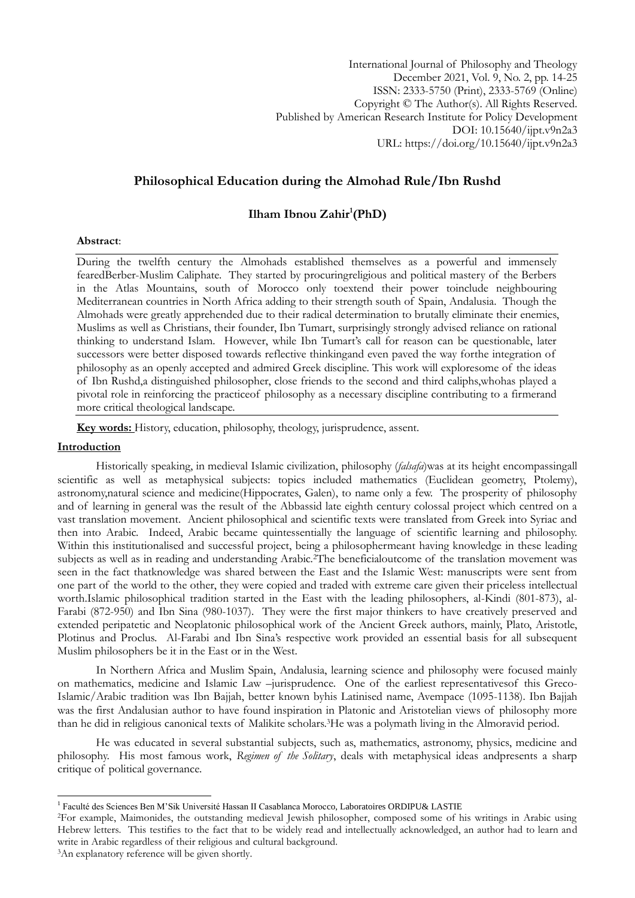International Journal of Philosophy and Theology December 2021, Vol. 9, No. 2, pp. 14-25 ISSN: 2333-5750 (Print), 2333-5769 (Online) Copyright © The Author(s). All Rights Reserved. Published by American Research Institute for Policy Development DOI: 10.15640/ijpt.v9n2a3 URL: https://doi.org/10.15640/ijpt.v9n2a3

# **Philosophical Education during the Almohad Rule/Ibn Rushd**

## **Ilham Ibnou Zahir<sup>1</sup> (PhD)**

#### **Abstract**:

During the twelfth century the Almohads established themselves as a powerful and immensely fearedBerber-Muslim Caliphate. They started by procuringreligious and political mastery of the Berbers in the Atlas Mountains, south of Morocco only toextend their power toinclude neighbouring Mediterranean countries in North Africa adding to their strength south of Spain, Andalusia. Though the Almohads were greatly apprehended due to their radical determination to brutally eliminate their enemies, Muslims as well as Christians, their founder, Ibn Tumart, surprisingly strongly advised reliance on rational thinking to understand Islam. However, while Ibn Tumart's call for reason can be questionable, later successors were better disposed towards reflective thinkingand even paved the way forthe integration of philosophy as an openly accepted and admired Greek discipline. This work will exploresome of the ideas of Ibn Rushd,a distinguished philosopher, close friends to the second and third caliphs,whohas played a pivotal role in reinforcing the practiceof philosophy as a necessary discipline contributing to a firmerand more critical theological landscape.

**Key words:** History, education, philosophy, theology, jurisprudence, assent.

#### **Introduction**

Historically speaking, in medieval Islamic civilization, philosophy (*falsafa*)was at its height encompassingall scientific as well as metaphysical subjects: topics included mathematics (Euclidean geometry, Ptolemy), astronomy,natural science and medicine(Hippocrates, Galen), to name only a few. The prosperity of philosophy and of learning in general was the result of the Abbassid late eighth century colossal project which centred on a vast translation movement. Ancient philosophical and scientific texts were translated from Greek into Syriac and then into Arabic. Indeed, Arabic became quintessentially the language of scientific learning and philosophy. Within this institutionalised and successful project, being a philosophermeant having knowledge in these leading subjects as well as in reading and understanding Arabic.<sup>2</sup>The beneficialoutcome of the translation movement was seen in the fact thatknowledge was shared between the East and the Islamic West: manuscripts were sent from one part of the world to the other, they were copied and traded with extreme care given their priceless intellectual worth.Islamic philosophical tradition started in the East with the leading philosophers, al-Kindi (801-873), al-Farabi (872-950) and Ibn Sina (980-1037). They were the first major thinkers to have creatively preserved and extended peripatetic and Neoplatonic philosophical work of the Ancient Greek authors, mainly, Plato, Aristotle, Plotinus and Proclus. Al-Farabi and Ibn Sina's respective work provided an essential basis for all subsequent Muslim philosophers be it in the East or in the West.

In Northern Africa and Muslim Spain, Andalusia, learning science and philosophy were focused mainly on mathematics, medicine and Islamic Law –jurisprudence. One of the earliest representativesof this Greco-Islamic/Arabic tradition was Ibn Bajjah, better known byhis Latinised name, Avempace (1095-1138). Ibn Bajjah was the first Andalusian author to have found inspiration in Platonic and Aristotelian views of philosophy more than he did in religious canonical texts of Malikite scholars.3He was a polymath living in the Almoravid period.

He was educated in several substantial subjects, such as, mathematics, astronomy, physics, medicine and philosophy. His most famous work, *Regimen of the Solitary*, deals with metaphysical ideas andpresents a sharp critique of political governance.

 1 Faculté des Sciences Ben M'Sik Université Hassan II Casablanca Morocco, Laboratoires ORDIPU& LASTIE

<sup>2</sup>For example, Maimonides, the outstanding medieval Jewish philosopher, composed some of his writings in Arabic using Hebrew letters. This testifies to the fact that to be widely read and intellectually acknowledged, an author had to learn and write in Arabic regardless of their religious and cultural background.

<sup>3</sup>An explanatory reference will be given shortly.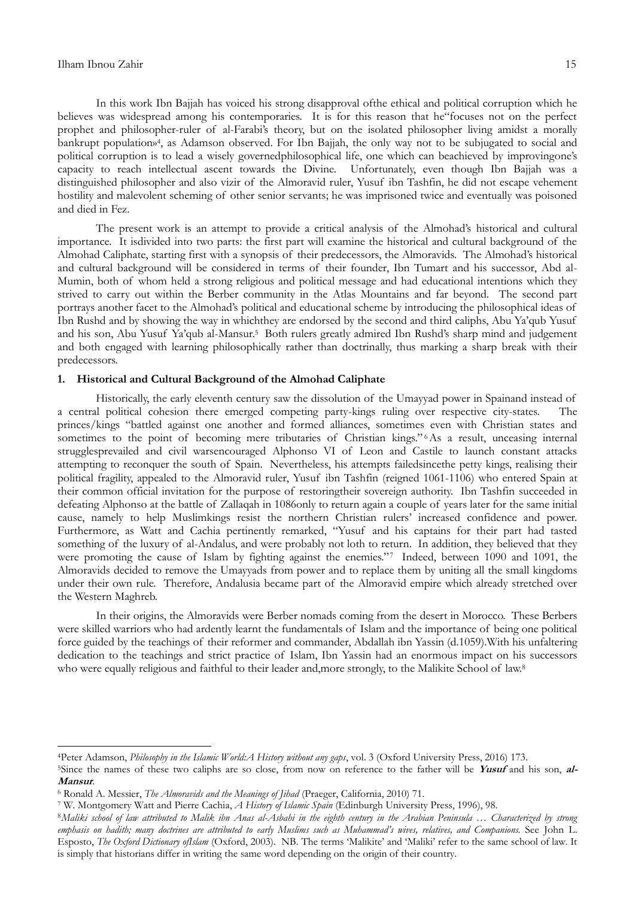1

In this work Ibn Bajjah has voiced his strong disapproval ofthe ethical and political corruption which he believes was widespread among his contemporaries. It is for this reason that he"focuses not on the perfect prophet and philosopher-ruler of al-Farabi's theory, but on the isolated philosopher living amidst a morally bankrupt population»<sup>4</sup> , as Adamson observed. For Ibn Bajjah, the only way not to be subjugated to social and political corruption is to lead a wisely governedphilosophical life, one which can beachieved by improvingone's capacity to reach intellectual ascent towards the Divine. Unfortunately, even though Ibn Bajjah was a distinguished philosopher and also vizir of the Almoravid ruler, Yusuf ibn Tashfin, he did not escape vehement hostility and malevolent scheming of other senior servants; he was imprisoned twice and eventually was poisoned and died in Fez.

The present work is an attempt to provide a critical analysis of the Almohad's historical and cultural importance. It isdivided into two parts: the first part will examine the historical and cultural background of the Almohad Caliphate, starting first with a synopsis of their predecessors, the Almoravids. The Almohad"s historical and cultural background will be considered in terms of their founder, Ibn Tumart and his successor, Abd al-Mumin, both of whom held a strong religious and political message and had educational intentions which they strived to carry out within the Berber community in the Atlas Mountains and far beyond. The second part portrays another facet to the Almohad"s political and educational scheme by introducing the philosophical ideas of Ibn Rushd and by showing the way in whichthey are endorsed by the second and third caliphs, Abu Ya"qub Yusuf and his son, Abu Yusuf Ya'qub al-Mansur.<sup>5</sup> Both rulers greatly admired Ibn Rushd's sharp mind and judgement and both engaged with learning philosophically rather than doctrinally, thus marking a sharp break with their predecessors.

### **1. Historical and Cultural Background of the Almohad Caliphate**

Historically, the early eleventh century saw the dissolution of the Umayyad power in Spainand instead of a central political cohesion there emerged competing party-kings ruling over respective city-states. The princes/kings "battled against one another and formed alliances, sometimes even with Christian states and sometimes to the point of becoming mere tributaries of Christian kings." As a result, unceasing internal strugglesprevailed and civil warsencouraged Alphonso VI of Leon and Castile to launch constant attacks attempting to reconquer the south of Spain. Nevertheless, his attempts failedsincethe petty kings, realising their political fragility, appealed to the Almoravid ruler, Yusuf ibn Tashfin (reigned 1061-1106) who entered Spain at their common official invitation for the purpose of restoringtheir sovereign authority. Ibn Tashfin succeeded in defeating Alphonso at the battle of Zallaqah in 1086only to return again a couple of years later for the same initial cause, namely to help Muslimkings resist the northern Christian rulers" increased confidence and power. Furthermore, as Watt and Cachia pertinently remarked, "Yusuf and his captains for their part had tasted something of the luxury of al-Andalus, and were probably not loth to return. In addition, they believed that they were promoting the cause of Islam by fighting against the enemies."7 Indeed, between 1090 and 1091, the Almoravids decided to remove the Umayyads from power and to replace them by uniting all the small kingdoms under their own rule. Therefore, Andalusia became part of the Almoravid empire which already stretched over the Western Maghreb.

In their origins, the Almoravids were Berber nomads coming from the desert in Morocco. These Berbers were skilled warriors who had ardently learnt the fundamentals of Islam and the importance of being one political force guided by the teachings of their reformer and commander, Abdallah ibn Yassin (d.1059).With his unfaltering dedication to the teachings and strict practice of Islam, Ibn Yassin had an enormous impact on his successors who were equally religious and faithful to their leader and,more strongly, to the Malikite School of law.8

<sup>4</sup>Peter Adamson, *Philosophy in the Islamic World:A History without any gaps*, vol. 3 (Oxford University Press, 2016) 173.

<sup>5</sup>Since the names of these two caliphs are so close, from now on reference to the father will be **Yusuf** and his son, **al-Mansur**.

<sup>6</sup> Ronald A. Messier, *The Almoravids and the Meanings of Jihad* (Praeger, California, 2010) 71.

<sup>7</sup> W. Montgomery Watt and Pierre Cachia, *A History of Islamic Spain* (Edinburgh University Press, 1996), 98.

<sup>8</sup>*Maliki school of law attributed to Malik ibn Anas al-Asbahi in the eighth century in the Arabian Peninsula … Characterized by strong emphasis on hadith; many doctrines are attributed to early Muslims such as Muhammad"s wives, relatives, and Companions.* See John L. Esposto, *The Oxford Dictionary ofIslam* (Oxford, 2003). NB. The terms "Malikite" and "Maliki" refer to the same school of law. It is simply that historians differ in writing the same word depending on the origin of their country.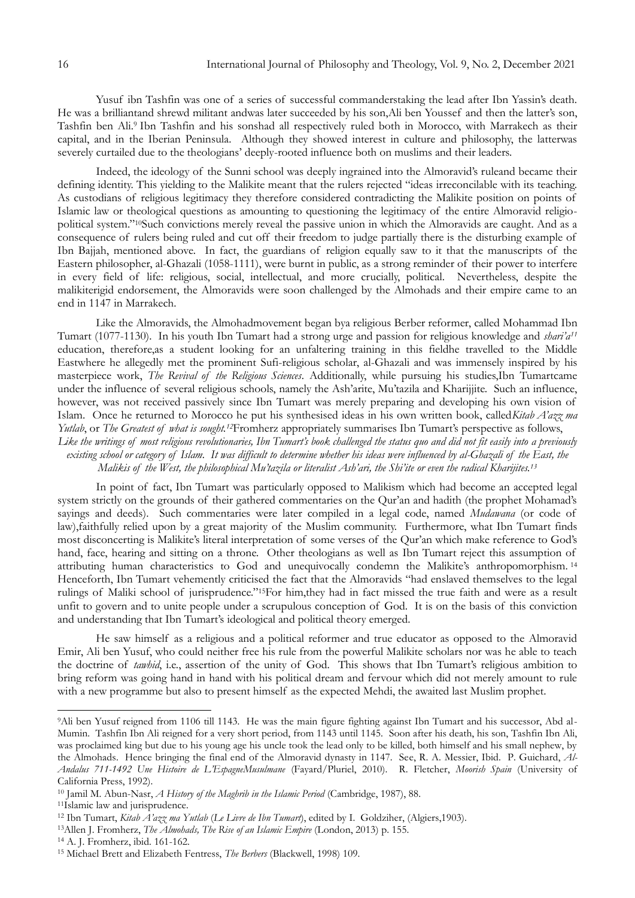Yusuf ibn Tashfin was one of a series of successful commanderstaking the lead after Ibn Yassin's death. He was a brilliantand shrewd militant andwas later succeeded by his son,Ali ben Youssef and then the latter's son, Tashfin ben Ali.<sup>9</sup> Ibn Tashfin and his sonshad all respectively ruled both in Morocco, with Marrakech as their capital, and in the Iberian Peninsula. Although they showed interest in culture and philosophy, the latterwas severely curtailed due to the theologians' deeply-rooted influence both on muslims and their leaders.

Indeed, the ideology of the Sunni school was deeply ingrained into the Almoravid's ruleand became their defining identity. This yielding to the Malikite meant that the rulers rejected "ideas irreconcilable with its teaching. As custodians of religious legitimacy they therefore considered contradicting the Malikite position on points of Islamic law or theological questions as amounting to questioning the legitimacy of the entire Almoravid religiopolitical system."10Such convictions merely reveal the passive union in which the Almoravids are caught. And as a consequence of rulers being ruled and cut off their freedom to judge partially there is the disturbing example of Ibn Bajjah, mentioned above. In fact, the guardians of religion equally saw to it that the manuscripts of the Eastern philosopher, al-Ghazali (1058-1111), were burnt in public, as a strong reminder of their power to interfere in every field of life: religious, social, intellectual, and more crucially, political. Nevertheless, despite the malikiterigid endorsement, the Almoravids were soon challenged by the Almohads and their empire came to an end in 1147 in Marrakech.

Like the Almoravids, the Almohadmovement began bya religious Berber reformer, called Mohammad Ibn Tumart (1077-1130). In his youth Ibn Tumart had a strong urge and passion for religious knowledge and *shari"a<sup>11</sup>* education, therefore,as a student looking for an unfaltering training in this fieldhe travelled to the Middle Eastwhere he allegedly met the prominent Sufi-religious scholar, al-Ghazali and was immensely inspired by his masterpiece work, *The Revival of the Religious Sciences*. Additionally, while pursuing his studies,Ibn Tumartcame under the influence of several religious schools, namely the Ash'arite, Mu'tazila and Kharijjite. Such an influence, however, was not received passively since Ibn Tumart was merely preparing and developing his own vision of Islam. Once he returned to Morocco he put his synthesised ideas in his own written book, called*Kitab A"azz ma Yutlab*, or *The Greatest of what is sought.*<sup>12</sup>Fromherz appropriately summarises Ibn Tumart's perspective as follows,

Like the writings of most religious revolutionaries, Ibn Tumart's book challenged the status quo and did not fit easily into a previously *existing school or category of Islam. It was difficult to determine whether his ideas were influenced by al-Ghazali of the East, the Malikis of the West, the philosophical Mu"tazila or literalist Ash"ari, the Shi"ite or even the radical Kharijites.<sup>13</sup>*

In point of fact, Ibn Tumart was particularly opposed to Malikism which had become an accepted legal system strictly on the grounds of their gathered commentaries on the Qur'an and hadith (the prophet Mohamad's sayings and deeds). Such commentaries were later compiled in a legal code, named *Mudawana* (or code of law),faithfully relied upon by a great majority of the Muslim community. Furthermore, what Ibn Tumart finds most disconcerting is Malikite's literal interpretation of some verses of the Qur'an which make reference to God's hand, face, hearing and sitting on a throne. Other theologians as well as Ibn Tumart reject this assumption of attributing human characteristics to God and unequivocally condemn the Malikite's anthropomorphism.<sup>14</sup> Henceforth, Ibn Tumart vehemently criticised the fact that the Almoravids "had enslaved themselves to the legal rulings of Maliki school of jurisprudence."15For him,they had in fact missed the true faith and were as a result unfit to govern and to unite people under a scrupulous conception of God. It is on the basis of this conviction and understanding that Ibn Tumart's ideological and political theory emerged.

He saw himself as a religious and a political reformer and true educator as opposed to the Almoravid Emir, Ali ben Yusuf, who could neither free his rule from the powerful Malikite scholars nor was he able to teach the doctrine of *tawhid*, i.e., assertion of the unity of God. This shows that Ibn Tumart's religious ambition to bring reform was going hand in hand with his political dream and fervour which did not merely amount to rule with a new programme but also to present himself as the expected Mehdi, the awaited last Muslim prophet.

1

<sup>9</sup>Ali ben Yusuf reigned from 1106 till 1143. He was the main figure fighting against Ibn Tumart and his successor, Abd al-Mumin. Tashfin Ibn Ali reigned for a very short period, from 1143 until 1145. Soon after his death, his son, Tashfin Ibn Ali, was proclaimed king but due to his young age his uncle took the lead only to be killed, both himself and his small nephew, by the Almohads. Hence bringing the final end of the Almoravid dynasty in 1147. See, R. A. Messier, Ibid. P. Guichard, *Al-Andalus 711-1492 Une Histoire de L"EspagneMusulmane* (Fayard/Pluriel, 2010). R. Fletcher, *Moorish Spain* (University of California Press, 1992).

<sup>10</sup> Jamil M. Abun-Nasr, *A History of the Maghrib in the Islamic Period* (Cambridge, 1987), 88.

<sup>&</sup>lt;sup>11</sup>Islamic law and jurisprudence.

<sup>12</sup> Ibn Tumart, *Kitab A"azz ma Yutlab* (*Le Livre de Ibn Tumart*), edited by I. Goldziher, (Algiers,1903).

<sup>13</sup>Allen J. Fromherz, *The Almohads, The Rise of an Islamic Empire* (London, 2013) p. 155.

<sup>14</sup> A. J. Fromherz, ibid. 161-162.

<sup>15</sup> Michael Brett and Elizabeth Fentress, *The Berbers* (Blackwell, 1998) 109.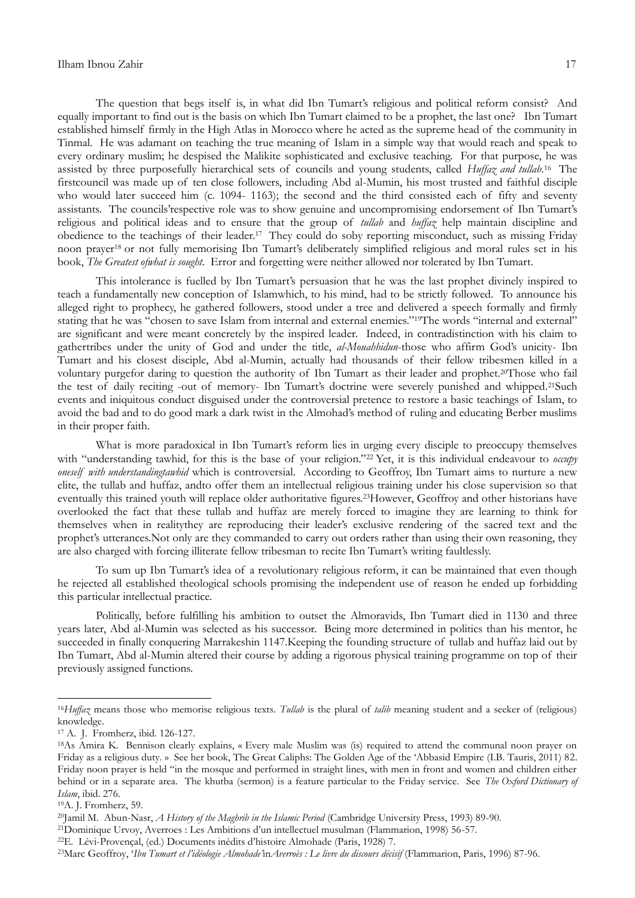The question that begs itself is, in what did Ibn Tumart's religious and political reform consist? And equally important to find out is the basis on which Ibn Tumart claimed to be a prophet, the last one? Ibn Tumart established himself firmly in the High Atlas in Morocco where he acted as the supreme head of the community in Tinmal. He was adamant on teaching the true meaning of Islam in a simple way that would reach and speak to every ordinary muslim; he despised the Malikite sophisticated and exclusive teaching. For that purpose, he was assisted by three purposefully hierarchical sets of councils and young students, called *Huffaz and tullab*. 16 The firstcouncil was made up of ten close followers, including Abd al-Mumin, his most trusted and faithful disciple who would later succeed him (c. 1094- 1163); the second and the third consisted each of fifty and seventy assistants. The councils' respective role was to show genuine and uncompromising endorsement of Ibn Tumart's religious and political ideas and to ensure that the group of *tullab* and *huffaz* help maintain discipline and obedience to the teachings of their leader.<sup>17</sup> They could do soby reporting misconduct, such as missing Friday noon prayer<sup>18</sup> or not fully memorising Ibn Tumart's deliberately simplified religious and moral rules set in his book, *The Greatest ofwhat is sought*. Error and forgetting were neither allowed nor tolerated by Ibn Tumart.

This intolerance is fuelled by Ibn Tumart's persuasion that he was the last prophet divinely inspired to teach a fundamentally new conception of Islamwhich, to his mind, had to be strictly followed. To announce his alleged right to prophecy, he gathered followers, stood under a tree and delivered a speech formally and firmly stating that he was "chosen to save Islam from internal and external enemies."19The words "internal and external" are significant and were meant concretely by the inspired leader. Indeed, in contradistinction with his claim to gathertribes under the unity of God and under the title, *al-Mouahhidun*-those who affirm God's unicity- Ibn Tumart and his closest disciple, Abd al-Mumin, actually had thousands of their fellow tribesmen killed in a voluntary purgefor daring to question the authority of Ibn Tumart as their leader and prophet.20Those who fail the test of daily reciting -out of memory- Ibn Tumart's doctrine were severely punished and whipped.<sup>21</sup>Such events and iniquitous conduct disguised under the controversial pretence to restore a basic teachings of Islam, to avoid the bad and to do good mark a dark twist in the Almohad"s method of ruling and educating Berber muslims in their proper faith.

What is more paradoxical in Ibn Tumart's reform lies in urging every disciple to preoccupy themselves with "understanding tawhid, for this is the base of your religion."<sup>22</sup> Yet, it is this individual endeavour to *occupy oneself with understandingtawhid* which is controversial. According to Geoffroy, Ibn Tumart aims to nurture a new elite, the tullab and huffaz, andto offer them an intellectual religious training under his close supervision so that eventually this trained youth will replace older authoritative figures.23However, Geoffroy and other historians have overlooked the fact that these tullab and huffaz are merely forced to imagine they are learning to think for themselves when in realitythey are reproducing their leader"s exclusive rendering of the sacred text and the prophet's utterances. Not only are they commanded to carry out orders rather than using their own reasoning, they are also charged with forcing illiterate fellow tribesman to recite Ibn Tumart's writing faultlessly.

To sum up Ibn Tumart"s idea of a revolutionary religious reform, it can be maintained that even though he rejected all established theological schools promising the independent use of reason he ended up forbidding this particular intellectual practice.

Politically, before fulfilling his ambition to outset the Almoravids, Ibn Tumart died in 1130 and three years later, Abd al-Mumin was selected as his successor. Being more determined in politics than his mentor, he succeeded in finally conquering Marrakeshin 1147.Keeping the founding structure of tullab and huffaz laid out by Ibn Tumart, Abd al-Mumin altered their course by adding a rigorous physical training programme on top of their previously assigned functions.

1

<sup>16</sup>*Huffaz* means those who memorise religious texts. *Tullab* is the plural of *talib* meaning student and a seeker of (religious) knowledge.

<sup>17</sup> A. J. Fromherz, ibid. 126-127.

<sup>18</sup>As Amira K. Bennison clearly explains, « Every male Muslim was (is) required to attend the communal noon prayer on Friday as a religious duty. » See her book, The Great Caliphs: The Golden Age of the "Abbasid Empire (I.B. Tauris, 2011) 82. Friday noon prayer is held "in the mosque and performed in straight lines, with men in front and women and children either behind or in a separate area. The khutba (sermon) is a feature particular to the Friday service. See *The Oxford Dictionary of Islam*, ibid. 276.

<sup>19</sup>A. J. Fromherz, 59.

<sup>20</sup>Jamil M. Abun-Nasr, *A History of the Maghrib in the Islamic Period* (Cambridge University Press, 1993) 89-90.

<sup>21</sup>Dominique Urvoy, Averroes : Les Ambitions d"un intellectuel musulman (Flammarion, 1998) 56-57.

<sup>22</sup>E. Lévi-Provençal, (ed.) Documents inédits d"histoire Almohade (Paris, 1928) 7.

<sup>23</sup>Marc Geoffroy, "*Ibn Tumart et l"idéologie Almohade"*in*Averroès : Le livre du discours décisif* (Flammarion, Paris, 1996) 87-96.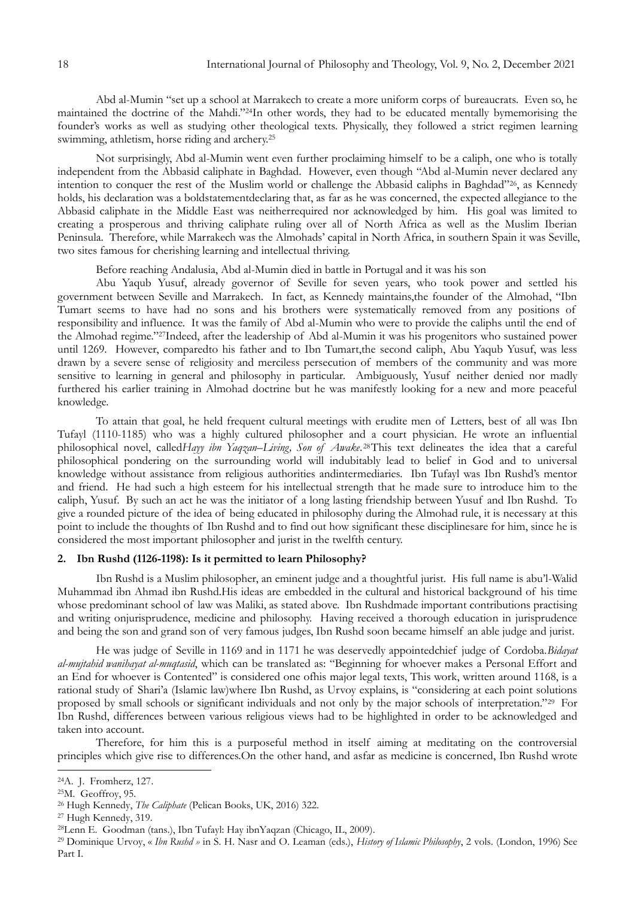Abd al-Mumin "set up a school at Marrakech to create a more uniform corps of bureaucrats. Even so, he maintained the doctrine of the Mahdi."24In other words, they had to be educated mentally bymemorising the founder"s works as well as studying other theological texts. Physically, they followed a strict regimen learning swimming, athletism, horse riding and archery.<sup>25</sup>

Not surprisingly, Abd al-Mumin went even further proclaiming himself to be a caliph, one who is totally independent from the Abbasid caliphate in Baghdad. However, even though "Abd al-Mumin never declared any intention to conquer the rest of the Muslim world or challenge the Abbasid caliphs in Baghdad"26, as Kennedy holds, his declaration was a boldstatementdeclaring that, as far as he was concerned, the expected allegiance to the Abbasid caliphate in the Middle East was neitherrequired nor acknowledged by him. His goal was limited to creating a prosperous and thriving caliphate ruling over all of North Africa as well as the Muslim Iberian Peninsula. Therefore, while Marrakech was the Almohads" capital in North Africa, in southern Spain it was Seville, two sites famous for cherishing learning and intellectual thriving.

Before reaching Andalusia, Abd al-Mumin died in battle in Portugal and it was his son

Abu Yaqub Yusuf, already governor of Seville for seven years, who took power and settled his government between Seville and Marrakech. In fact, as Kennedy maintains,the founder of the Almohad, "Ibn Tumart seems to have had no sons and his brothers were systematically removed from any positions of responsibility and influence. It was the family of Abd al-Mumin who were to provide the caliphs until the end of the Almohad regime."27Indeed, after the leadership of Abd al-Mumin it was his progenitors who sustained power until 1269. However, comparedto his father and to Ibn Tumart,the second caliph, Abu Yaqub Yusuf, was less drawn by a severe sense of religiosity and merciless persecution of members of the community and was more sensitive to learning in general and philosophy in particular. Ambiguously, Yusuf neither denied nor madly furthered his earlier training in Almohad doctrine but he was manifestly looking for a new and more peaceful knowledge.

To attain that goal, he held frequent cultural meetings with erudite men of Letters, best of all was Ibn Tufayl (1110-1185) who was a highly cultured philosopher and a court physician. He wrote an influential philosophical novel, called*Hayy ibn Yaqzan*–*Living, Son of Awake*. <sup>28</sup>This text delineates the idea that a careful philosophical pondering on the surrounding world will indubitably lead to belief in God and to universal knowledge without assistance from religious authorities andintermediaries. Ibn Tufayl was Ibn Rushd"s mentor and friend. He had such a high esteem for his intellectual strength that he made sure to introduce him to the caliph, Yusuf. By such an act he was the initiator of a long lasting friendship between Yusuf and Ibn Rushd. To give a rounded picture of the idea of being educated in philosophy during the Almohad rule, it is necessary at this point to include the thoughts of Ibn Rushd and to find out how significant these disciplinesare for him, since he is considered the most important philosopher and jurist in the twelfth century.

#### **2. Ibn Rushd (1126-1198): Is it permitted to learn Philosophy?**

Ibn Rushd is a Muslim philosopher, an eminent judge and a thoughtful jurist. His full name is abu"l-Walid Muhammad ibn Ahmad ibn Rushd.His ideas are embedded in the cultural and historical background of his time whose predominant school of law was Maliki, as stated above. Ibn Rushdmade important contributions practising and writing onjurisprudence, medicine and philosophy. Having received a thorough education in jurisprudence and being the son and grand son of very famous judges, Ibn Rushd soon became himself an able judge and jurist.

He was judge of Seville in 1169 and in 1171 he was deservedly appointedchief judge of Cordoba.*Bidayat al-mujtahid wanihayat al-muqtasid*, which can be translated as: "Beginning for whoever makes a Personal Effort and an End for whoever is Contented" is considered one ofhis major legal texts, This work, written around 1168, is a rational study of Shari'a (Islamic law)where Ibn Rushd, as Urvoy explains, is "considering at each point solutions proposed by small schools or significant individuals and not only by the major schools of interpretation."<sup>29</sup> For Ibn Rushd, differences between various religious views had to be highlighted in order to be acknowledged and taken into account.

Therefore, for him this is a purposeful method in itself aiming at meditating on the controversial principles which give rise to differences.On the other hand, and asfar as medicine is concerned, Ibn Rushd wrote

**.** 

<sup>24</sup>A. J. Fromherz, 127.

<sup>25</sup>M. Geoffroy, 95.

<sup>26</sup> Hugh Kennedy, *The Caliphate* (Pelican Books, UK, 2016) 322.

<sup>27</sup> Hugh Kennedy, 319.

<sup>28</sup>Lenn E. Goodman (tans.), Ibn Tufayl: Hay ibnYaqzan (Chicago, IL, 2009).

<sup>29</sup> Dominique Urvoy, « *Ibn Rushd »* in S. H. Nasr and O. Leaman (eds.), *History of Islamic Philosophy*, 2 vols. (London, 1996) See Part I.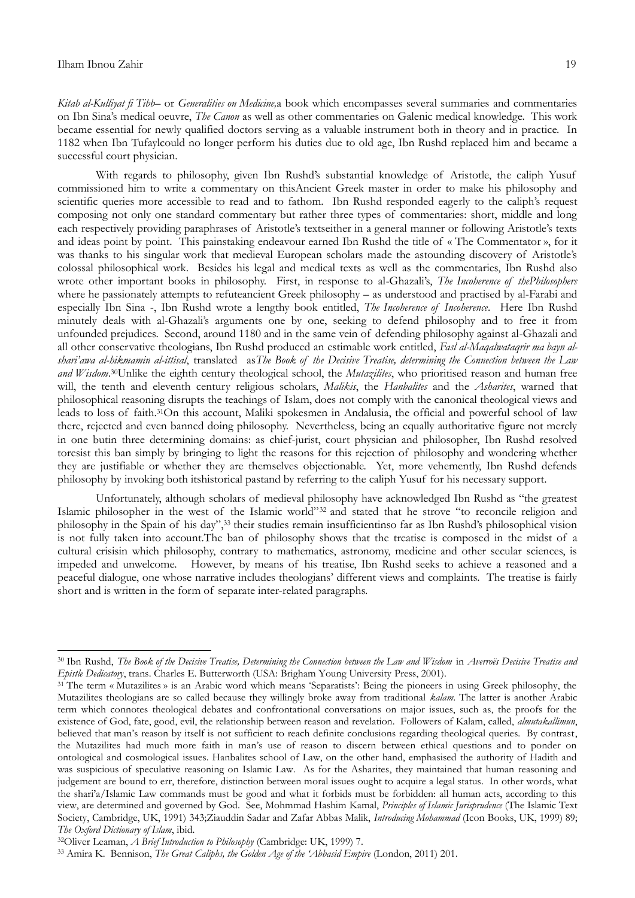1

*Kitab al-Kulliyat fi Tibb*– or *Generalities on Medicine,*a book which encompasses several summaries and commentaries on Ibn Sina"s medical oeuvre, *The Canon* as well as other commentaries on Galenic medical knowledge. This work became essential for newly qualified doctors serving as a valuable instrument both in theory and in practice. In 1182 when Ibn Tufaylcould no longer perform his duties due to old age, Ibn Rushd replaced him and became a successful court physician.

With regards to philosophy, given Ibn Rushd's substantial knowledge of Aristotle, the caliph Yusuf commissioned him to write a commentary on thisAncient Greek master in order to make his philosophy and scientific queries more accessible to read and to fathom. Ibn Rushd responded eagerly to the caliph's request composing not only one standard commentary but rather three types of commentaries: short, middle and long each respectively providing paraphrases of Aristotle's textseither in a general manner or following Aristotle's texts and ideas point by point. This painstaking endeavour earned Ibn Rushd the title of « The Commentator », for it was thanks to his singular work that medieval European scholars made the astounding discovery of Aristotle's colossal philosophical work. Besides his legal and medical texts as well as the commentaries, Ibn Rushd also wrote other important books in philosophy. First, in response to al-Ghazali's, *The Incoherence of thePhilosophers* where he passionately attempts to refuteancient Greek philosophy – as understood and practised by al-Farabi and especially Ibn Sina -, Ibn Rushd wrote a lengthy book entitled, *The Incoherence of Incoherence*. Here Ibn Rushd minutely deals with al-Ghazali's arguments one by one, seeking to defend philosophy and to free it from unfounded prejudices. Second, around 1180 and in the same vein of defending philosophy against al-Ghazali and all other conservative theologians, Ibn Rushd produced an estimable work entitled, *Fasl al-Maqalwataqrir ma bayn alshari"awa al-hikmamin al-ittisal*, translated as*The Book of the Decisive Treatise, determining the Connection between the Law and Wisdom*. <sup>30</sup>Unlike the eighth century theological school, the *Mutazilites*, who prioritised reason and human free will, the tenth and eleventh century religious scholars, *Malikis*, the *Hanbalites* and the *Asharites*, warned that philosophical reasoning disrupts the teachings of Islam, does not comply with the canonical theological views and leads to loss of faith.31On this account, Maliki spokesmen in Andalusia, the official and powerful school of law there, rejected and even banned doing philosophy. Nevertheless, being an equally authoritative figure not merely in one butin three determining domains: as chief-jurist, court physician and philosopher, Ibn Rushd resolved toresist this ban simply by bringing to light the reasons for this rejection of philosophy and wondering whether they are justifiable or whether they are themselves objectionable. Yet, more vehemently, Ibn Rushd defends philosophy by invoking both itshistorical pastand by referring to the caliph Yusuf for his necessary support.

Unfortunately, although scholars of medieval philosophy have acknowledged Ibn Rushd as "the greatest Islamic philosopher in the west of the Islamic world"<sup>32</sup> and stated that he strove "to reconcile religion and philosophy in the Spain of his day",<sup>33</sup> their studies remain insufficientinso far as Ibn Rushd"s philosophical vision is not fully taken into account.The ban of philosophy shows that the treatise is composed in the midst of a cultural crisisin which philosophy, contrary to mathematics, astronomy, medicine and other secular sciences, is impeded and unwelcome. However, by means of his treatise, Ibn Rushd seeks to achieve a reasoned and a peaceful dialogue, one whose narrative includes theologians" different views and complaints. The treatise is fairly short and is written in the form of separate inter-related paragraphs.

<sup>30</sup> Ibn Rushd, *The Book of the Decisive Treatise, Determining the Connection between the Law and Wisdom* in *Averroës Decisive Treatise and Epistle Dedicatory*, trans. Charles E. Butterworth (USA: Brigham Young University Press, 2001).

<sup>31</sup> The term « Mutazilites » is an Arabic word which means "Separatists": Being the pioneers in using Greek philosophy, the Mutazilites theologians are so called because they willingly broke away from traditional *kalam*. The latter is another Arabic term which connotes theological debates and confrontational conversations on major issues, such as, the proofs for the existence of God, fate, good, evil, the relationship between reason and revelation. Followers of Kalam, called, *almutakallimun*, believed that man"s reason by itself is not sufficient to reach definite conclusions regarding theological queries. By contrast, the Mutazilites had much more faith in man"s use of reason to discern between ethical questions and to ponder on ontological and cosmological issues. Hanbalites school of Law, on the other hand, emphasised the authority of Hadith and was suspicious of speculative reasoning on Islamic Law. As for the Asharites, they maintained that human reasoning and judgement are bound to err, therefore, distinction between moral issues ought to acquire a legal status. In other words, what the shari'a/Islamic Law commands must be good and what it forbids must be forbidden: all human acts, according to this view, are determined and governed by God. See, Mohmmad Hashim Kamal, *Principles of Islamic Jurisprudence* (The Islamic Text Society, Cambridge, UK, 1991) 343;Ziauddin Sadar and Zafar Abbas Malik, *Introducing Mohammad* (Icon Books, UK, 1999) 89; *The Oxford Dictionary of Islam*, ibid.

<sup>32</sup>Oliver Leaman, *A Brief Introduction to Philosophy* (Cambridge: UK, 1999) 7.

<sup>33</sup> Amira K. Bennison, *The Great Caliphs, the Golden Age of the "Abbasid Empire* (London, 2011) 201.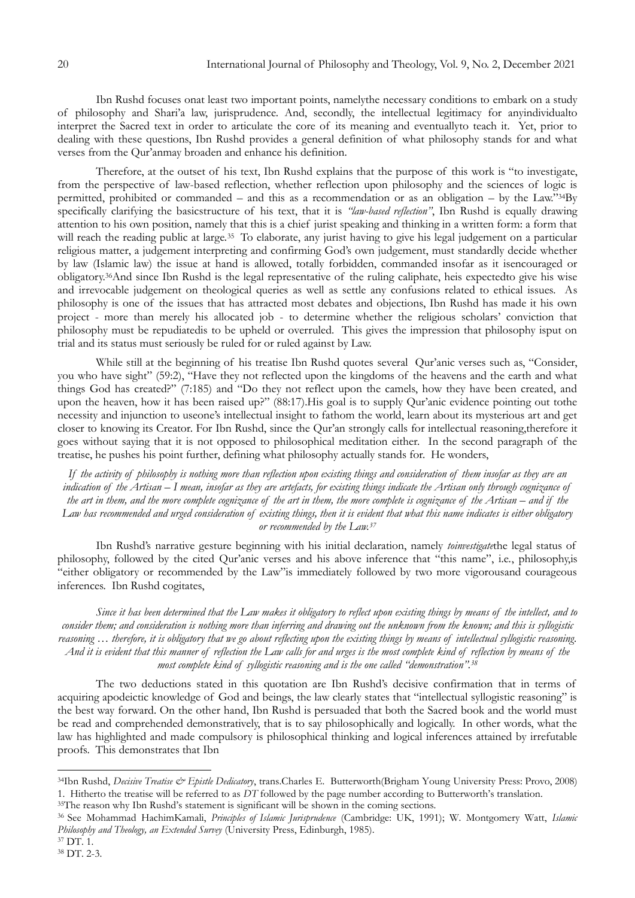Ibn Rushd focuses onat least two important points, namelythe necessary conditions to embark on a study of philosophy and Shari"a law, jurisprudence. And, secondly, the intellectual legitimacy for anyindividualto interpret the Sacred text in order to articulate the core of its meaning and eventuallyto teach it. Yet, prior to dealing with these questions, Ibn Rushd provides a general definition of what philosophy stands for and what verses from the Qur"anmay broaden and enhance his definition.

Therefore, at the outset of his text, Ibn Rushd explains that the purpose of this work is "to investigate, from the perspective of law-based reflection, whether reflection upon philosophy and the sciences of logic is permitted, prohibited or commanded – and this as a recommendation or as an obligation – by the Law."34By specifically clarifying the basicstructure of his text, that it is *"law-based reflection"*, Ibn Rushd is equally drawing attention to his own position, namely that this is a chief jurist speaking and thinking in a written form: a form that will reach the reading public at large.<sup>35</sup> To elaborate, any jurist having to give his legal judgement on a particular religious matter, a judgement interpreting and confirming God"s own judgement, must standardly decide whether by law (Islamic law) the issue at hand is allowed, totally forbidden, commanded insofar as it isencouraged or obligatory.36And since Ibn Rushd is the legal representative of the ruling caliphate, heis expectedto give his wise and irrevocable judgement on theological queries as well as settle any confusions related to ethical issues. As philosophy is one of the issues that has attracted most debates and objections, Ibn Rushd has made it his own project - more than merely his allocated job - to determine whether the religious scholars" conviction that philosophy must be repudiatedis to be upheld or overruled. This gives the impression that philosophy isput on trial and its status must seriously be ruled for or ruled against by Law.

While still at the beginning of his treatise Ibn Rushd quotes several Qur'anic verses such as, "Consider, you who have sight" (59:2), "Have they not reflected upon the kingdoms of the heavens and the earth and what things God has created?" (7:185) and "Do they not reflect upon the camels, how they have been created, and upon the heaven, how it has been raised up?" (88:17). His goal is to supply Qur'anic evidence pointing out tothe necessity and injunction to useone"s intellectual insight to fathom the world, learn about its mysterious art and get closer to knowing its Creator. For Ibn Rushd, since the Qur"an strongly calls for intellectual reasoning,therefore it goes without saying that it is not opposed to philosophical meditation either. In the second paragraph of the treatise, he pushes his point further, defining what philosophy actually stands for. He wonders,

*If the activity of philosophy is nothing more than reflection upon existing things and consideration of them insofar as they are an indication of the Artisan – I mean, insofar as they are artefacts, for existing things indicate the Artisan only through cognizance of the art in them, and the more complete cognizance of the art in them, the more complete is cognizance of the Artisan – and if the* Law has recommended and urged consideration of existing things, then it is evident that what this name indicates is either obligatory *or recommended by the Law.<sup>37</sup>*

Ibn Rushd"s narrative gesture beginning with his initial declaration, namely *toinvestigate*the legal status of philosophy, followed by the cited Qur'anic verses and his above inference that "this name", i.e., philosophy,is "either obligatory or recommended by the Law"is immediately followed by two more vigorousand courageous inferences. Ibn Rushd cogitates,

*Since it has been determined that the Law makes it obligatory to reflect upon existing things by means of the intellect, and to consider them; and consideration is nothing more than inferring and drawing out the unknown from the known; and this is syllogistic reasoning … therefore, it is obligatory that we go about reflecting upon the existing things by means of intellectual syllogistic reasoning. And it is evident that this manner of reflection the Law calls for and urges is the most complete kind of reflection by means of the most complete kind of syllogistic reasoning and is the one called "demonstration".<sup>38</sup>*

The two deductions stated in this quotation are Ibn Rushd's decisive confirmation that in terms of acquiring apodeictic knowledge of God and beings, the law clearly states that "intellectual syllogistic reasoning" is the best way forward. On the other hand, Ibn Rushd is persuaded that both the Sacred book and the world must be read and comprehended demonstratively, that is to say philosophically and logically. In other words, what the law has highlighted and made compulsory is philosophical thinking and logical inferences attained by irrefutable proofs. This demonstrates that Ibn

**.** 

<sup>34</sup>Ibn Rushd, *Decisive Treatise & Epistle Dedicatory*, trans.Charles E. Butterworth(Brigham Young University Press: Provo, 2008) 1. Hitherto the treatise will be referred to as *DT* followed by the page number according to Butterworth"s translation.

<sup>&</sup>lt;sup>35</sup>The reason why Ibn Rushd's statement is significant will be shown in the coming sections.

<sup>36</sup> See Mohammad HachimKamali, *Principles of Islamic Jurisprudence* (Cambridge: UK, 1991); W. Montgomery Watt, *Islamic Philosophy and Theology, an Extended Survey* (University Press, Edinburgh, 1985).  $37$  DT. 1.

<sup>38</sup> DT. 2-3.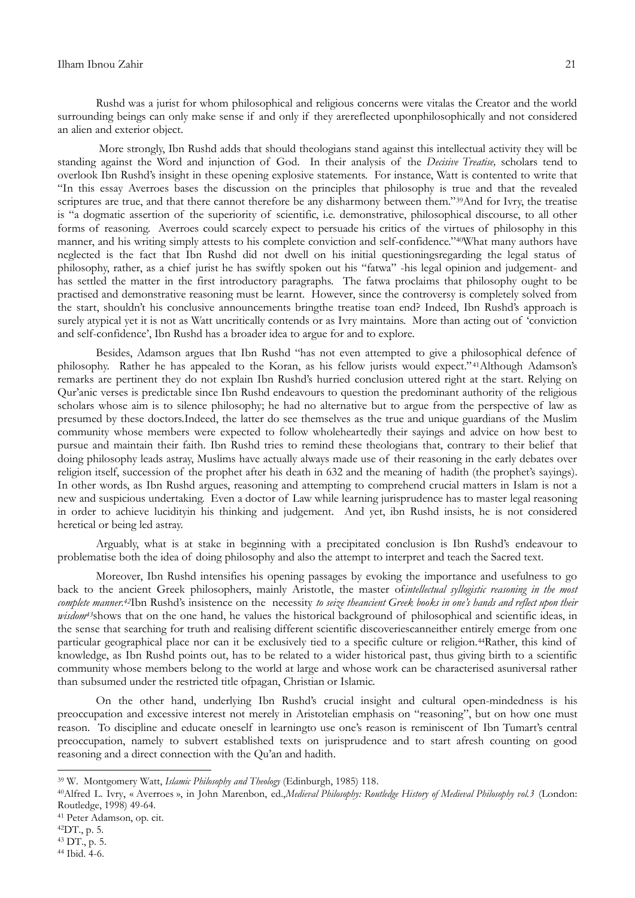Rushd was a jurist for whom philosophical and religious concerns were vitalas the Creator and the world surrounding beings can only make sense if and only if they arereflected uponphilosophically and not considered an alien and exterior object.

More strongly, Ibn Rushd adds that should theologians stand against this intellectual activity they will be standing against the Word and injunction of God. In their analysis of the *Decisive Treatise,* scholars tend to overlook Ibn Rushd"s insight in these opening explosive statements. For instance, Watt is contented to write that "In this essay Averroes bases the discussion on the principles that philosophy is true and that the revealed scriptures are true, and that there cannot therefore be any disharmony between them."<sup>39</sup>And for Ivry, the treatise is "a dogmatic assertion of the superiority of scientific, i.e. demonstrative, philosophical discourse, to all other forms of reasoning. Averroes could scarcely expect to persuade his critics of the virtues of philosophy in this manner, and his writing simply attests to his complete conviction and self-confidence."40What many authors have neglected is the fact that Ibn Rushd did not dwell on his initial questioningsregarding the legal status of philosophy, rather, as a chief jurist he has swiftly spoken out his "fatwa" -his legal opinion and judgement- and has settled the matter in the first introductory paragraphs. The fatwa proclaims that philosophy ought to be practised and demonstrative reasoning must be learnt. However, since the controversy is completely solved from the start, shouldn't his conclusive announcements bringthe treatise toan end? Indeed, Ibn Rushd's approach is surely atypical yet it is not as Watt uncritically contends or as Ivry maintains. More than acting out of 'conviction and self-confidence", Ibn Rushd has a broader idea to argue for and to explore.

Besides, Adamson argues that Ibn Rushd "has not even attempted to give a philosophical defence of philosophy. Rather he has appealed to the Koran, as his fellow jurists would expect."<sup>41</sup>Although Adamson's remarks are pertinent they do not explain Ibn Rushd"s hurried conclusion uttered right at the start. Relying on Qur"anic verses is predictable since Ibn Rushd endeavours to question the predominant authority of the religious scholars whose aim is to silence philosophy; he had no alternative but to argue from the perspective of law as presumed by these doctors.Indeed, the latter do see themselves as the true and unique guardians of the Muslim community whose members were expected to follow wholeheartedly their sayings and advice on how best to pursue and maintain their faith. Ibn Rushd tries to remind these theologians that, contrary to their belief that doing philosophy leads astray, Muslims have actually always made use of their reasoning in the early debates over religion itself, succession of the prophet after his death in 632 and the meaning of hadith (the prophet's sayings). In other words, as Ibn Rushd argues, reasoning and attempting to comprehend crucial matters in Islam is not a new and suspicious undertaking. Even a doctor of Law while learning jurisprudence has to master legal reasoning in order to achieve lucidityin his thinking and judgement. And yet, ibn Rushd insists, he is not considered heretical or being led astray.

Arguably, what is at stake in beginning with a precipitated conclusion is Ibn Rushd"s endeavour to problematise both the idea of doing philosophy and also the attempt to interpret and teach the Sacred text.

Moreover, Ibn Rushd intensifies his opening passages by evoking the importance and usefulness to go back to the ancient Greek philosophers, mainly Aristotle, the master of*intellectual syllogistic reasoning in the most complete manner.42*Ibn Rushd"s insistence on the necessity *to seize theancient Greek books in one"s hands and reflect upon their wisdom<sup>43</sup>shows that on the one hand, he values the historical background of philosophical and scientific ideas, in* the sense that searching for truth and realising different scientific discoveriescanneither entirely emerge from one particular geographical place nor can it be exclusively tied to a specific culture or religion.44Rather, this kind of knowledge, as Ibn Rushd points out, has to be related to a wider historical past, thus giving birth to a scientific community whose members belong to the world at large and whose work can be characterised asuniversal rather than subsumed under the restricted title ofpagan, Christian or Islamic.

On the other hand, underlying Ibn Rushd"s crucial insight and cultural open-mindedness is his preoccupation and excessive interest not merely in Aristotelian emphasis on "reasoning", but on how one must reason. To discipline and educate oneself in learningto use one's reason is reminiscent of Ibn Tumart's central preoccupation, namely to subvert established texts on jurisprudence and to start afresh counting on good reasoning and a direct connection with the Qu"an and hadith.

**.** 

<sup>39</sup> W. Montgomery Watt, *Islamic Philosophy and Theology* (Edinburgh, 1985) 118.

<sup>40</sup>Alfred L. Ivry, « Averroes », in John Marenbon, ed.,*Medieval Philosophy: Routledge History of Medieval Philosophy vol.3* (London: Routledge, 1998) 49-64.

<sup>41</sup> Peter Adamson, op. cit.

<sup>42</sup>DT., p. 5.

<sup>43</sup> DT., p. 5.

<sup>44</sup> Ibid. 4-6.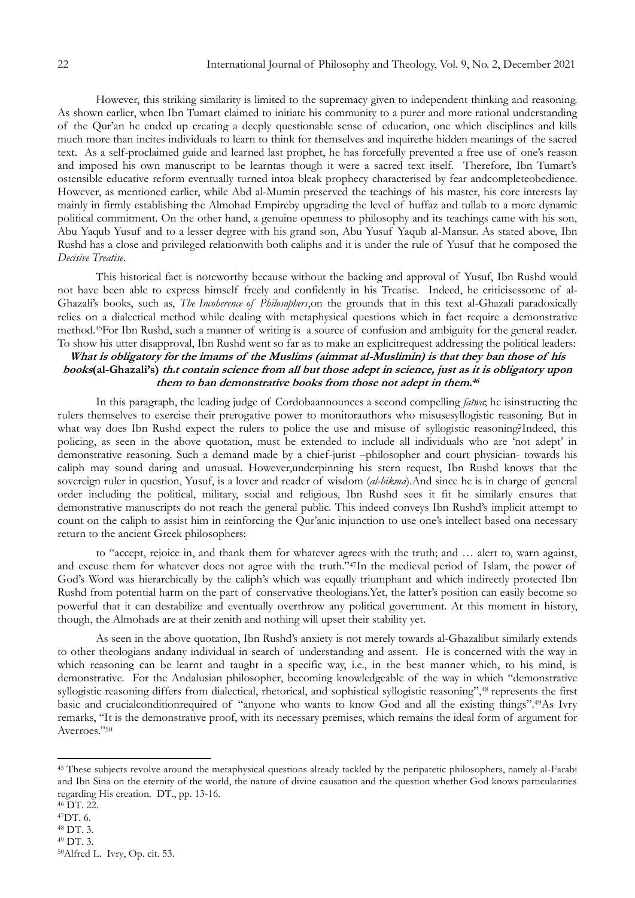However, this striking similarity is limited to the supremacy given to independent thinking and reasoning. As shown earlier, when Ibn Tumart claimed to initiate his community to a purer and more rational understanding of the Qur"an he ended up creating a deeply questionable sense of education, one which disciplines and kills much more than incites individuals to learn to think for themselves and inquirethe hidden meanings of the sacred text. As a self-proclaimed guide and learned last prophet, he has forcefully prevented a free use of one's reason and imposed his own manuscript to be learntas though it were a sacred text itself. Therefore, Ibn Tumart's ostensible educative reform eventually turned intoa bleak prophecy characterised by fear andcompleteobedience. However, as mentioned earlier, while Abd al-Mumin preserved the teachings of his master, his core interests lay mainly in firmly establishing the Almohad Empireby upgrading the level of huffaz and tullab to a more dynamic political commitment. On the other hand, a genuine openness to philosophy and its teachings came with his son, Abu Yaqub Yusuf and to a lesser degree with his grand son, Abu Yusuf Yaqub al-Mansur. As stated above, Ibn Rushd has a close and privileged relationwith both caliphs and it is under the rule of Yusuf that he composed the *Decisive Treatise*.

This historical fact is noteworthy because without the backing and approval of Yusuf, Ibn Rushd would not have been able to express himself freely and confidently in his Treatise. Indeed, he criticisessome of al-Ghazali"s books, such as, *The Incoherence of Philosophers*,on the grounds that in this text al-Ghazali paradoxically relies on a dialectical method while dealing with metaphysical questions which in fact require a demonstrative method.45For Ibn Rushd, such a manner of writing is a source of confusion and ambiguity for the general reader. To show his utter disapproval, Ibn Rushd went so far as to make an explicitrequest addressing the political leaders:

## **What is obligatory for the imams of the Muslims (aimmat al-Muslimin) is that they ban those of his books(al-Ghazali's) that contain science from all but those adept in science, just as it is obligatory upon them to ban demonstrative books from those not adept in them. 46**

In this paragraph, the leading judge of Cordobaannounces a second compelling *fatwa*; he isinstructing the rulers themselves to exercise their prerogative power to monitorauthors who misusesyllogistic reasoning. But in what way does Ibn Rushd expect the rulers to police the use and misuse of syllogistic reasoning?Indeed, this policing, as seen in the above quotation, must be extended to include all individuals who are "not adept" in demonstrative reasoning. Such a demand made by a chief-jurist –philosopher and court physician- towards his caliph may sound daring and unusual. However,underpinning his stern request, Ibn Rushd knows that the sovereign ruler in question, Yusuf, is a lover and reader of wisdom (*al-hikma*).And since he is in charge of general order including the political, military, social and religious, Ibn Rushd sees it fit he similarly ensures that demonstrative manuscripts do not reach the general public. This indeed conveys Ibn Rushd's implicit attempt to count on the caliph to assist him in reinforcing the Qur"anic injunction to use one"s intellect based ona necessary return to the ancient Greek philosophers:

to "accept, rejoice in, and thank them for whatever agrees with the truth; and … alert to, warn against, and excuse them for whatever does not agree with the truth."47In the medieval period of Islam, the power of God's Word was hierarchically by the caliph's which was equally triumphant and which indirectly protected Ibn Rushd from potential harm on the part of conservative theologians. Yet, the latter's position can easily become so powerful that it can destabilize and eventually overthrow any political government. At this moment in history, though, the Almohads are at their zenith and nothing will upset their stability yet.

As seen in the above quotation, Ibn Rushd's anxiety is not merely towards al-Ghazalibut similarly extends to other theologians andany individual in search of understanding and assent. He is concerned with the way in which reasoning can be learnt and taught in a specific way, i.e., in the best manner which, to his mind, is demonstrative. For the Andalusian philosopher, becoming knowledgeable of the way in which "demonstrative syllogistic reasoning differs from dialectical, rhetorical, and sophistical syllogistic reasoning",<sup>48</sup> represents the first basic and crucialconditionrequired of "anyone who wants to know God and all the existing things".49As Ivry remarks, "It is the demonstrative proof, with its necessary premises, which remains the ideal form of argument for Averroes."<sup>50</sup>

1

<sup>&</sup>lt;sup>45</sup> These subjects revolve around the metaphysical questions already tackled by the peripatetic philosophers, namely al-Farabi and Ibn Sina on the eternity of the world, the nature of divine causation and the question whether God knows particularities regarding His creation. DT., pp. 13-16.

<sup>46</sup> DT. 22.

<sup>47</sup>DT. 6.

<sup>48</sup> DT. 3. <sup>49</sup> DT. 3.

<sup>50</sup>Alfred L. Ivry, Op. cit. 53.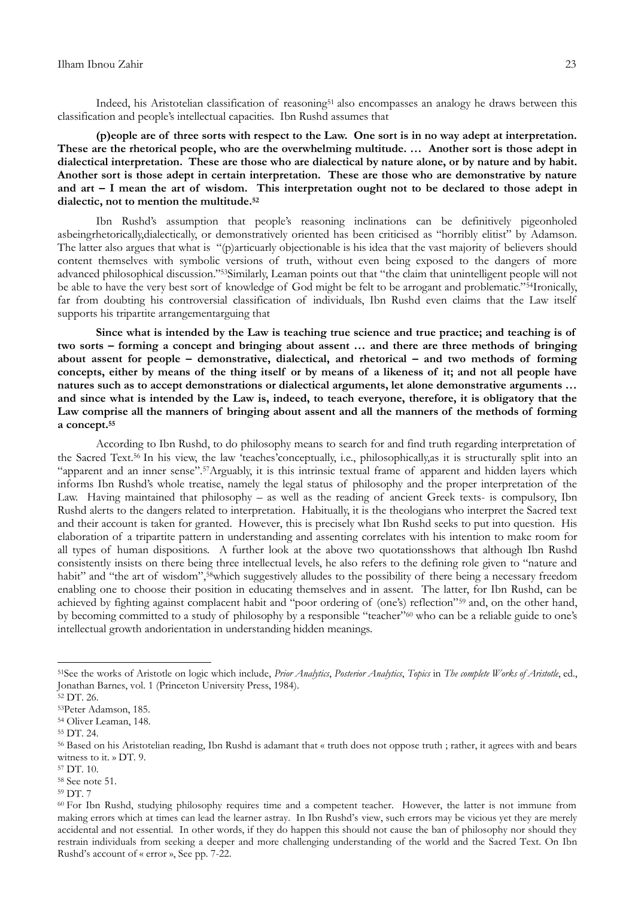Indeed, his Aristotelian classification of reasoning<sup>51</sup> also encompasses an analogy he draws between this classification and people"s intellectual capacities. Ibn Rushd assumes that

**(p)eople are of three sorts with respect to the Law. One sort is in no way adept at interpretation. These are the rhetorical people, who are the overwhelming multitude. … Another sort is those adept in dialectical interpretation. These are those who are dialectical by nature alone, or by nature and by habit. Another sort is those adept in certain interpretation. These are those who are demonstrative by nature and art – I mean the art of wisdom. This interpretation ought not to be declared to those adept in dialectic, not to mention the multitude.<sup>52</sup>**

Ibn Rushd's assumption that people's reasoning inclinations can be definitively pigeonholed asbeingrhetorically,dialectically, or demonstratively oriented has been criticised as "horribly elitist" by Adamson. The latter also argues that what is "(p)articuarly objectionable is his idea that the vast majority of believers should content themselves with symbolic versions of truth, without even being exposed to the dangers of more advanced philosophical discussion."53Similarly, Leaman points out that "the claim that unintelligent people will not be able to have the very best sort of knowledge of God might be felt to be arrogant and problematic."54Ironically, far from doubting his controversial classification of individuals, Ibn Rushd even claims that the Law itself supports his tripartite arrangementarguing that

**Since what is intended by the Law is teaching true science and true practice; and teaching is of two sorts – forming a concept and bringing about assent … and there are three methods of bringing about assent for people – demonstrative, dialectical, and rhetorical – and two methods of forming concepts, either by means of the thing itself or by means of a likeness of it; and not all people have natures such as to accept demonstrations or dialectical arguments, let alone demonstrative arguments … and since what is intended by the Law is, indeed, to teach everyone, therefore, it is obligatory that the Law comprise all the manners of bringing about assent and all the manners of the methods of forming a concept.<sup>55</sup>**

According to Ibn Rushd, to do philosophy means to search for and find truth regarding interpretation of the Sacred Text.<sup>56</sup> In his view, the law "teaches"conceptually, i.e., philosophically,as it is structurally split into an "apparent and an inner sense".57Arguably, it is this intrinsic textual frame of apparent and hidden layers which informs Ibn Rushd"s whole treatise, namely the legal status of philosophy and the proper interpretation of the Law. Having maintained that philosophy – as well as the reading of ancient Greek texts- is compulsory, Ibn Rushd alerts to the dangers related to interpretation. Habitually, it is the theologians who interpret the Sacred text and their account is taken for granted. However, this is precisely what Ibn Rushd seeks to put into question. His elaboration of a tripartite pattern in understanding and assenting correlates with his intention to make room for all types of human dispositions. A further look at the above two quotationsshows that although Ibn Rushd consistently insists on there being three intellectual levels, he also refers to the defining role given to "nature and habit" and "the art of wisdom",<sup>58</sup>which suggestively alludes to the possibility of there being a necessary freedom enabling one to choose their position in educating themselves and in assent. The latter, for Ibn Rushd, can be achieved by fighting against complacent habit and "poor ordering of (one's) reflection"<sup>59</sup> and, on the other hand, by becoming committed to a study of philosophy by a responsible "teacher"<sup>60</sup> who can be a reliable guide to one's intellectual growth andorientation in understanding hidden meanings.

1

<sup>59</sup> DT. 7

<sup>51</sup>See the works of Aristotle on logic which include, *Prior Analytics*, *Posterior Analytics*, *Topics* in *The complete Works of Aristotle*, ed., Jonathan Barnes, vol. 1 (Princeton University Press, 1984).

<sup>52</sup> DT. 26.

<sup>53</sup>Peter Adamson, 185.

<sup>54</sup> Oliver Leaman, 148.

<sup>55</sup> DT. 24.

<sup>56</sup> Based on his Aristotelian reading, Ibn Rushd is adamant that « truth does not oppose truth ; rather, it agrees with and bears witness to it. » DT. 9.

<sup>57</sup> DT. 10.

<sup>58</sup> See note 51.

<sup>60</sup> For Ibn Rushd, studying philosophy requires time and a competent teacher. However, the latter is not immune from making errors which at times can lead the learner astray. In Ibn Rushd"s view, such errors may be vicious yet they are merely accidental and not essential. In other words, if they do happen this should not cause the ban of philosophy nor should they restrain individuals from seeking a deeper and more challenging understanding of the world and the Sacred Text. On Ibn Rushd"s account of « error », See pp. 7-22.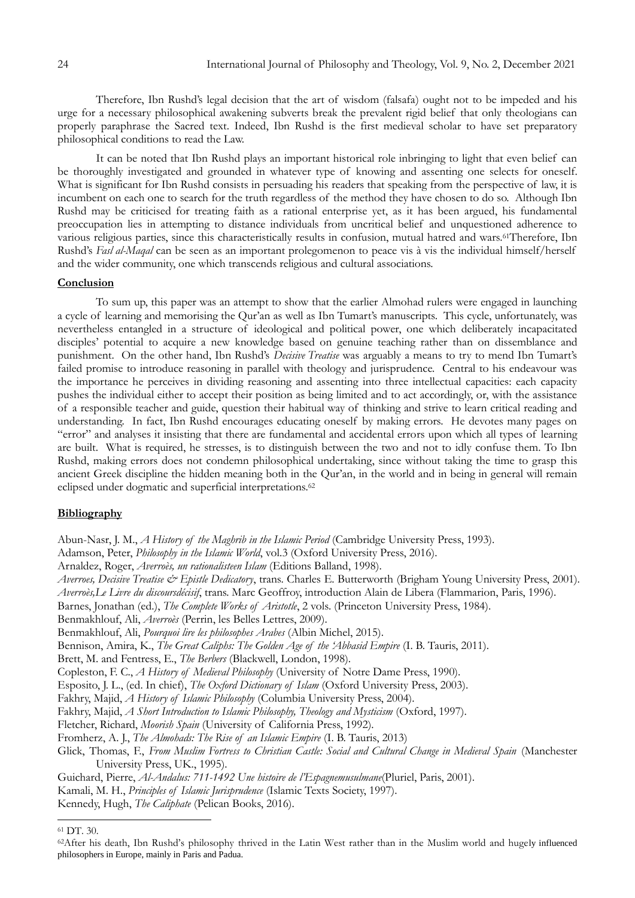Therefore, Ibn Rushd's legal decision that the art of wisdom (falsafa) ought not to be impeded and his urge for a necessary philosophical awakening subverts break the prevalent rigid belief that only theologians can properly paraphrase the Sacred text. Indeed, Ibn Rushd is the first medieval scholar to have set preparatory philosophical conditions to read the Law.

It can be noted that Ibn Rushd plays an important historical role inbringing to light that even belief can be thoroughly investigated and grounded in whatever type of knowing and assenting one selects for oneself. What is significant for Ibn Rushd consists in persuading his readers that speaking from the perspective of law, it is incumbent on each one to search for the truth regardless of the method they have chosen to do so. Although Ibn Rushd may be criticised for treating faith as a rational enterprise yet, as it has been argued, his fundamental preoccupation lies in attempting to distance individuals from uncritical belief and unquestioned adherence to various religious parties, since this characteristically results in confusion, mutual hatred and wars.61Therefore, Ibn Rushd"s *Fasl al-Maqal* can be seen as an important prolegomenon to peace vis à vis the individual himself/herself and the wider community, one which transcends religious and cultural associations.

#### **Conclusion**

To sum up, this paper was an attempt to show that the earlier Almohad rulers were engaged in launching a cycle of learning and memorising the Qur'an as well as Ibn Tumart's manuscripts. This cycle, unfortunately, was nevertheless entangled in a structure of ideological and political power, one which deliberately incapacitated disciples" potential to acquire a new knowledge based on genuine teaching rather than on dissemblance and punishment. On the other hand, Ibn Rushd's *Decisive Treatise* was arguably a means to try to mend Ibn Tumart's failed promise to introduce reasoning in parallel with theology and jurisprudence. Central to his endeavour was the importance he perceives in dividing reasoning and assenting into three intellectual capacities: each capacity pushes the individual either to accept their position as being limited and to act accordingly, or, with the assistance of a responsible teacher and guide, question their habitual way of thinking and strive to learn critical reading and understanding. In fact, Ibn Rushd encourages educating oneself by making errors. He devotes many pages on "error" and analyses it insisting that there are fundamental and accidental errors upon which all types of learning are built. What is required, he stresses, is to distinguish between the two and not to idly confuse them. To Ibn Rushd, making errors does not condemn philosophical undertaking, since without taking the time to grasp this ancient Greek discipline the hidden meaning both in the Qur'an, in the world and in being in general will remain eclipsed under dogmatic and superficial interpretations.<sup>62</sup>

### **Bibliography**

Abun-Nasr, J. M., *A History of the Maghrib in the Islamic Period* (Cambridge University Press, 1993).

Adamson, Peter, *Philosophy in the Islamic World*, vol.3 (Oxford University Press, 2016).

Arnaldez, Roger, *Averroès, un rationalisteen Islam* (Editions Balland, 1998).

*Averroes, Decisive Treatise & Epistle Dedicatory*, trans. Charles E. Butterworth (Brigham Young University Press, 2001). *Averroès,Le Livre du discoursdécisif*, trans. Marc Geoffroy, introduction Alain de Libera (Flammarion, Paris, 1996).

Barnes, Jonathan (ed.), *The Complete Works of Aristotle*, 2 vols. (Princeton University Press, 1984).

Benmakhlouf, Ali, *Averroès* (Perrin, les Belles Lettres, 2009).

Benmakhlouf, Ali, *Pourquoi lire les philosophes Arabes* (Albin Michel, 2015).

Bennison, Amira, K., *The Great Caliphs: The Golden Age of the "Abbasid Empire* (I. B. Tauris, 2011).

Brett, M. and Fentress, E., *The Berbers* (Blackwell, London, 1998).

Copleston, F. C., *A History of Medieval Philosophy* (University of Notre Dame Press, 1990).

Esposito, J. L., (ed. In chief), *The Oxford Dictionary of Islam* (Oxford University Press, 2003).

Fakhry, Majid, *A History of Islamic Philosophy* (Columbia University Press, 2004).

Fakhry, Majid, *A Short Introduction to Islamic Philosophy, Theology and Mysticism* (Oxford, 1997).

Fletcher, Richard, *Moorish Spain* (University of California Press, 1992).

Fromherz, A. J., *The Almohads: The Rise of an Islamic Empire* (I. B. Tauris, 2013)

Glick, Thomas, F., *From Muslim Fortress to Christian Castle: Social and Cultural Change in Medieval Spain* (Manchester University Press, UK., 1995).

Guichard, Pierre, *Al-Andalus: 711-1492 Une histoire de l"Espagnemusulmane*(Pluriel, Paris, 2001). Kamali, M. H., *Principles of Islamic Jurisprudence* (Islamic Texts Society, 1997). Kennedy, Hugh, *The Caliphate* (Pelican Books, 2016).

<sup>1</sup> <sup>61</sup> DT. 30.

<sup>&</sup>lt;sup>62</sup>After his death, Ibn Rushd's philosophy thrived in the Latin West rather than in the Muslim world and hugely influenced philosophers in Europe, mainly in Paris and Padua.